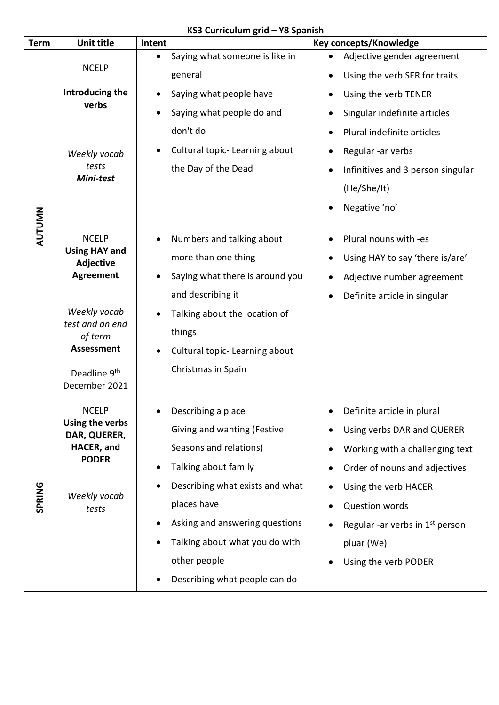|               | KS3 Curriculum grid - Y8 Spanish                                                       |                                                                                                                                                                               |  |  |  |  |  |  |
|---------------|----------------------------------------------------------------------------------------|-------------------------------------------------------------------------------------------------------------------------------------------------------------------------------|--|--|--|--|--|--|
| <b>Term</b>   | <b>Unit title</b>                                                                      | <b>Key concepts/Knowledge</b><br>Intent                                                                                                                                       |  |  |  |  |  |  |
|               | <b>NCELP</b><br>Introducing the                                                        | Saying what someone is like in<br>Adjective gender agreement<br>$\bullet$<br>general<br>Using the verb SER for traits<br>Saying what people have<br>Using the verb TENER<br>٠ |  |  |  |  |  |  |
|               | verbs                                                                                  | Saying what people do and<br>Singular indefinite articles                                                                                                                     |  |  |  |  |  |  |
|               | Weekly vocab<br>tests<br>Mini-test                                                     | don't do<br>Plural indefinite articles                                                                                                                                        |  |  |  |  |  |  |
|               |                                                                                        | Cultural topic-Learning about<br>Regular -ar verbs                                                                                                                            |  |  |  |  |  |  |
|               |                                                                                        | the Day of the Dead<br>Infinitives and 3 person singular                                                                                                                      |  |  |  |  |  |  |
|               |                                                                                        | (He/She/It)                                                                                                                                                                   |  |  |  |  |  |  |
| <b>AUTUMN</b> |                                                                                        | Negative 'no'<br>$\bullet$                                                                                                                                                    |  |  |  |  |  |  |
|               | <b>NCELP</b>                                                                           | Numbers and talking about<br>Plural nouns with -es<br>$\bullet$                                                                                                               |  |  |  |  |  |  |
|               | <b>Using HAY and</b><br>Adjective<br><b>Agreement</b>                                  | more than one thing<br>Using HAY to say 'there is/are'                                                                                                                        |  |  |  |  |  |  |
|               |                                                                                        | Saying what there is around you<br>Adjective number agreement<br>$\bullet$                                                                                                    |  |  |  |  |  |  |
|               |                                                                                        | and describing it<br>Definite article in singular<br>$\bullet$                                                                                                                |  |  |  |  |  |  |
|               | Weekly vocab<br>test and an end<br>of term                                             | Talking about the location of                                                                                                                                                 |  |  |  |  |  |  |
|               |                                                                                        | things                                                                                                                                                                        |  |  |  |  |  |  |
|               | <b>Assessment</b>                                                                      | Cultural topic- Learning about                                                                                                                                                |  |  |  |  |  |  |
|               | Deadline 9th<br>December 2021                                                          | Christmas in Spain                                                                                                                                                            |  |  |  |  |  |  |
|               | <b>NCELP</b>                                                                           | Describing a place<br>Definite article in plural<br>$\bullet$                                                                                                                 |  |  |  |  |  |  |
|               | Using the verbs<br>DAR, QUERER,<br>HACER, and<br><b>PODER</b><br>Weekly vocab<br>tests | Giving and wanting (Festive<br>Using verbs DAR and QUERER                                                                                                                     |  |  |  |  |  |  |
|               |                                                                                        | Seasons and relations)<br>Working with a challenging text                                                                                                                     |  |  |  |  |  |  |
|               |                                                                                        | Talking about family<br>Order of nouns and adjectives                                                                                                                         |  |  |  |  |  |  |
| SPRING        |                                                                                        | Describing what exists and what<br>Using the verb HACER                                                                                                                       |  |  |  |  |  |  |
|               |                                                                                        | places have<br><b>Question words</b>                                                                                                                                          |  |  |  |  |  |  |
|               |                                                                                        | Asking and answering questions<br>Regular -ar verbs in $1st$ person                                                                                                           |  |  |  |  |  |  |
|               |                                                                                        | Talking about what you do with<br>pluar (We)                                                                                                                                  |  |  |  |  |  |  |
|               |                                                                                        | other people<br>Using the verb PODER                                                                                                                                          |  |  |  |  |  |  |
|               |                                                                                        | Describing what people can do                                                                                                                                                 |  |  |  |  |  |  |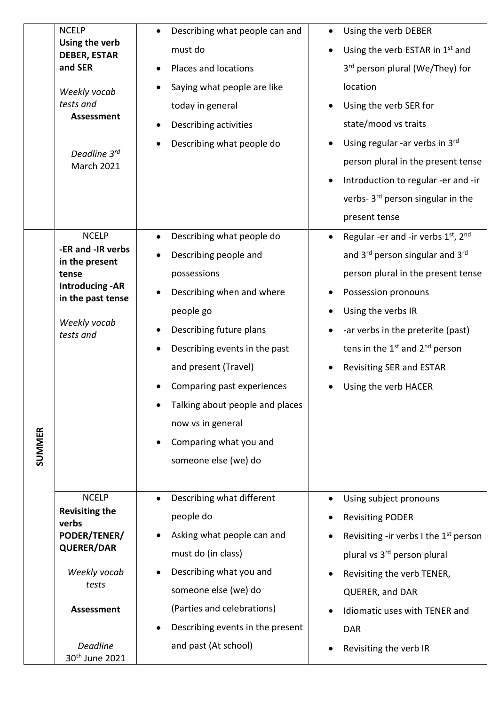|               | <b>NCELP</b>                                   |           | Describing what people can and   | Using the verb DEBER                         |
|---------------|------------------------------------------------|-----------|----------------------------------|----------------------------------------------|
|               | Using the verb<br><b>DEBER, ESTAR</b>          |           | must do                          | Using the verb ESTAR in 1st and              |
|               | and SER                                        |           | Places and locations             | 3 <sup>rd</sup> person plural (We/They) for  |
|               | Weekly vocab<br>tests and<br><b>Assessment</b> |           | Saying what people are like      | location                                     |
|               |                                                |           | today in general                 | Using the verb SER for                       |
|               |                                                | $\bullet$ | Describing activities            | state/mood vs traits                         |
|               | Deadline 3rd<br><b>March 2021</b>              |           | Describing what people do        | Using regular -ar verbs in 3rd               |
|               |                                                |           |                                  | person plural in the present tense           |
|               |                                                |           |                                  | Introduction to regular -er and -ir          |
|               |                                                |           |                                  | verbs-3 <sup>rd</sup> person singular in the |
|               |                                                |           |                                  | present tense                                |
|               | <b>NCELP</b>                                   |           | Describing what people do        | Regular -er and -ir verbs 1st, 2nd           |
|               | -ER and -IR verbs<br>in the present<br>tense   | $\bullet$ | Describing people and            | and 3rd person singular and 3rd              |
|               |                                                |           | possessions                      | person plural in the present tense           |
|               | <b>Introducing - AR</b><br>in the past tense   |           | Describing when and where        | Possession pronouns                          |
|               |                                                |           | people go                        | Using the verbs IR                           |
|               | Weekly vocab<br>tests and                      |           | Describing future plans          | -ar verbs in the preterite (past)            |
|               |                                                |           | Describing events in the past    | tens in the $1st$ and $2nd$ person           |
|               |                                                |           | and present (Travel)             | <b>Revisiting SER and ESTAR</b>              |
|               |                                                |           | Comparing past experiences       | Using the verb HACER                         |
|               |                                                |           | Talking about people and places  |                                              |
|               |                                                |           | now vs in general                |                                              |
| <b>SUMMER</b> |                                                | $\bullet$ | Comparing what you and           |                                              |
|               |                                                |           | someone else (we) do             |                                              |
|               |                                                |           |                                  |                                              |
|               | <b>NCELP</b>                                   |           | Describing what different        | Using subject pronouns                       |
|               | <b>Revisiting the</b><br>verbs                 |           | people do                        | <b>Revisiting PODER</b>                      |
|               | PODER/TENER/<br><b>QUERER/DAR</b>              |           | Asking what people can and       | Revisiting -ir verbs I the $1st$ person      |
|               |                                                |           | must do (in class)               | plural vs 3 <sup>rd</sup> person plural      |
|               | Weekly vocab                                   |           | Describing what you and          | Revisiting the verb TENER,                   |
|               | tests                                          |           | someone else (we) do             | QUERER, and DAR                              |
|               | <b>Assessment</b>                              |           | (Parties and celebrations)       | Idiomatic uses with TENER and                |
|               |                                                |           | Describing events in the present | <b>DAR</b>                                   |
|               | <b>Deadline</b><br>30 <sup>th</sup> June 2021  |           | and past (At school)             | Revisiting the verb IR                       |